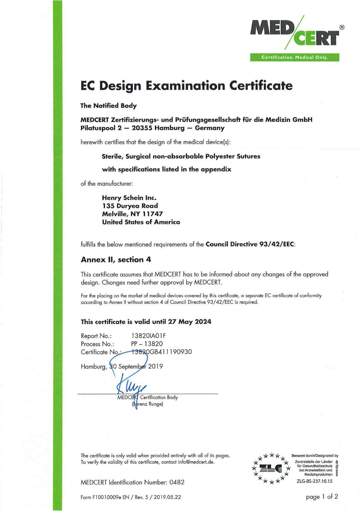

## **EC Design Examination Certificate**

## **The Notified Body**

**MEDCERT Zertifizierungs- und Prüfungsgesellschaft für die Medizin GmbH Pilatuspool 2 — 20355 Hamburg — Germany**

herewith certifies that the design of the medical device(s):

#### **Sterile, Surgical non-absorbable Polyester Sutures**

## **with specifications listed in the appendix**

of the manufacturer:

**Henry Schein Inc. 135 Duryea Road Melville, NY 11747 United States of America**

fulfills the below mentioned requirements of the **Council Directive 93/42/EEC:**

## **Annex II, section 4**

This certificate assumes that MEDCERT has to be informed about any changes of the approved design. Changes need further approval by MEDCERT.

For the placing on the market of medical devices covered by this certificate, a separate EC certificate of conformity according to Annex II without section 4 of Council Directive 93/42/EEC is required.

## **This certificate is valid until 27 May 2024**

Report No.: Process No.: Certificate No Hamburg, §0 September 2019 13820IA01F PP - <sup>13820</sup> 13820GB411190930 MEDCERT Certification Body (Lorenz Runge)

The certificate is only valid when provided entirely with all of its pages. To verify the validity of this certificate, contact [info@medcert.de.](mailto:info@medcert.de)





Benannt durch/Designated by Zentralstelle der Länder für Gesundheitsschutz bei Arzneimitteln und Medizinprodukten ZLG-BS-237.10.15